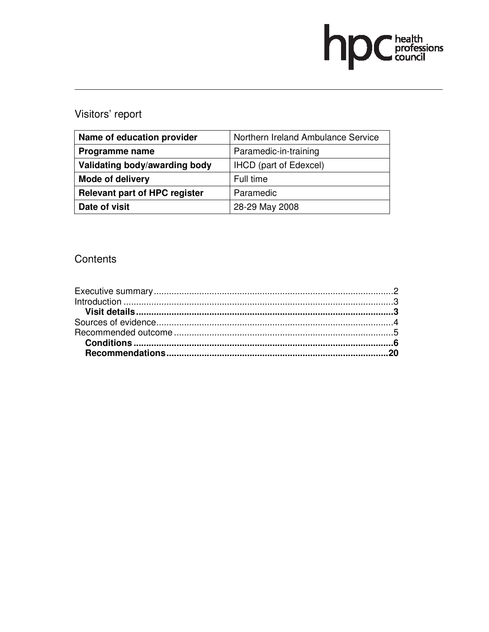# hp Chealth

# Visitors' report

| Name of education provider           | Northern Ireland Ambulance Service |  |
|--------------------------------------|------------------------------------|--|
| Programme name                       | Paramedic-in-training              |  |
| Validating body/awarding body        | <b>IHCD</b> (part of Edexcel)      |  |
| <b>Mode of delivery</b>              | Full time                          |  |
| <b>Relevant part of HPC register</b> | Paramedic                          |  |
| Date of visit                        | 28-29 May 2008                     |  |

# **Contents**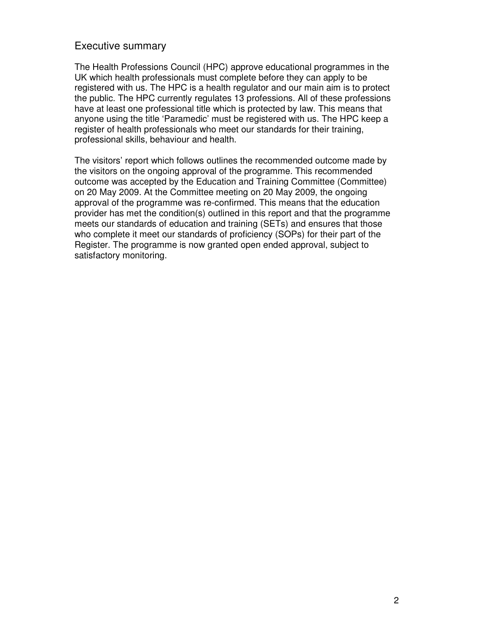# Executive summary

The Health Professions Council (HPC) approve educational programmes in the UK which health professionals must complete before they can apply to be registered with us. The HPC is a health regulator and our main aim is to protect the public. The HPC currently regulates 13 professions. All of these professions have at least one professional title which is protected by law. This means that anyone using the title 'Paramedic' must be registered with us. The HPC keep a register of health professionals who meet our standards for their training, professional skills, behaviour and health.

The visitors' report which follows outlines the recommended outcome made by the visitors on the ongoing approval of the programme. This recommended outcome was accepted by the Education and Training Committee (Committee) on 20 May 2009. At the Committee meeting on 20 May 2009, the ongoing approval of the programme was re-confirmed. This means that the education provider has met the condition(s) outlined in this report and that the programme meets our standards of education and training (SETs) and ensures that those who complete it meet our standards of proficiency (SOPs) for their part of the Register. The programme is now granted open ended approval, subject to satisfactory monitoring.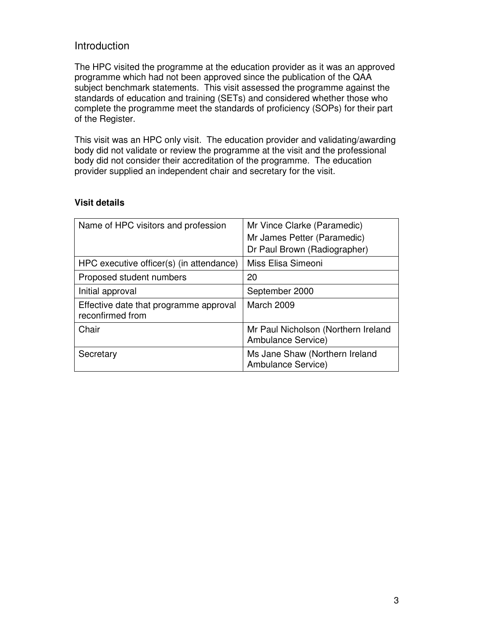# Introduction

The HPC visited the programme at the education provider as it was an approved programme which had not been approved since the publication of the QAA subject benchmark statements. This visit assessed the programme against the standards of education and training (SETs) and considered whether those who complete the programme meet the standards of proficiency (SOPs) for their part of the Register.

This visit was an HPC only visit. The education provider and validating/awarding body did not validate or review the programme at the visit and the professional body did not consider their accreditation of the programme. The education provider supplied an independent chair and secretary for the visit.

#### **Visit details**

| Name of HPC visitors and profession                        | Mr Vince Clarke (Paramedic)                               |  |
|------------------------------------------------------------|-----------------------------------------------------------|--|
|                                                            | Mr James Petter (Paramedic)                               |  |
|                                                            | Dr Paul Brown (Radiographer)                              |  |
| HPC executive officer(s) (in attendance)                   | Miss Elisa Simeoni                                        |  |
| Proposed student numbers                                   | 20                                                        |  |
| Initial approval                                           | September 2000                                            |  |
| Effective date that programme approval<br>reconfirmed from | March 2009                                                |  |
| Chair                                                      | Mr Paul Nicholson (Northern Ireland<br>Ambulance Service) |  |
| Secretary                                                  | Ms Jane Shaw (Northern Ireland<br>Ambulance Service)      |  |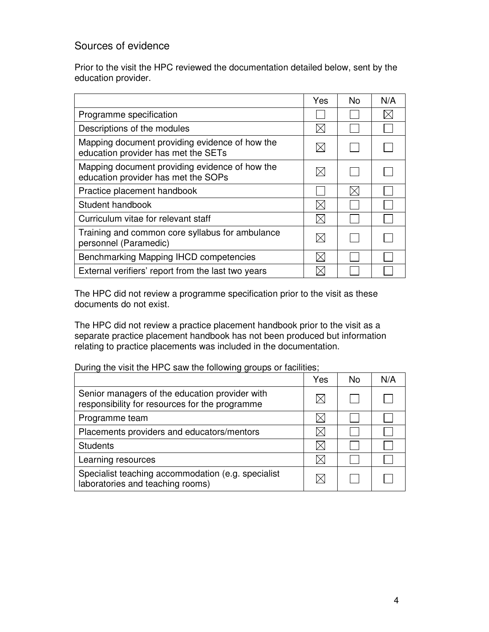# Sources of evidence

Prior to the visit the HPC reviewed the documentation detailed below, sent by the education provider.

|                                                                                       | Yes      | <b>No</b> | N/A |
|---------------------------------------------------------------------------------------|----------|-----------|-----|
| Programme specification                                                               |          |           |     |
| Descriptions of the modules                                                           |          |           |     |
| Mapping document providing evidence of how the<br>education provider has met the SETs |          |           |     |
| Mapping document providing evidence of how the<br>education provider has met the SOPs |          |           |     |
| Practice placement handbook                                                           |          |           |     |
| Student handbook                                                                      | $\times$ |           |     |
| Curriculum vitae for relevant staff                                                   | $\times$ |           |     |
| Training and common core syllabus for ambulance<br>personnel (Paramedic)              |          |           |     |
| Benchmarking Mapping IHCD competencies                                                | $\times$ |           |     |
| External verifiers' report from the last two years                                    |          |           |     |

The HPC did not review a programme specification prior to the visit as these documents do not exist.

The HPC did not review a practice placement handbook prior to the visit as a separate practice placement handbook has not been produced but information relating to practice placements was included in the documentation.

During the visit the HPC saw the following groups or facilities;

|                                                                                                  | Yes | No | N/A |
|--------------------------------------------------------------------------------------------------|-----|----|-----|
| Senior managers of the education provider with<br>responsibility for resources for the programme |     |    |     |
| Programme team                                                                                   |     |    |     |
| Placements providers and educators/mentors                                                       |     |    |     |
| <b>Students</b>                                                                                  |     |    |     |
| Learning resources                                                                               |     |    |     |
| Specialist teaching accommodation (e.g. specialist<br>laboratories and teaching rooms)           |     |    |     |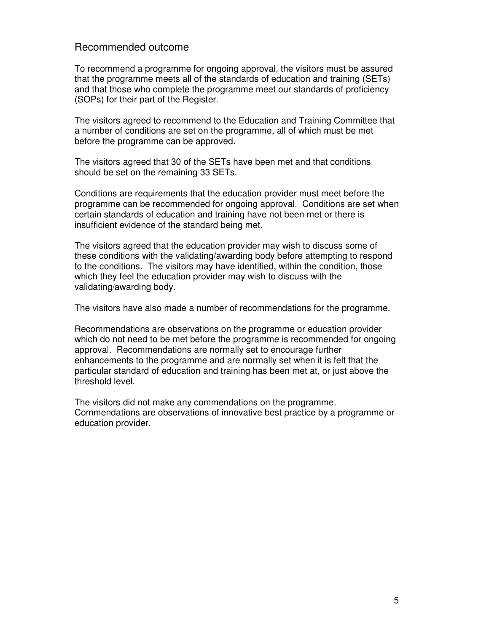# Recommended outcome

To recommend a programme for ongoing approval, the visitors must be assured that the programme meets all of the standards of education and training (SETs) and that those who complete the programme meet our standards of proficiency (SOPs) for their part of the Register.

The visitors agreed to recommend to the Education and Training Committee that a number of conditions are set on the programme, all of which must be met before the programme can be approved.

The visitors agreed that 30 of the SETs have been met and that conditions should be set on the remaining 33 SETs.

Conditions are requirements that the education provider must meet before the programme can be recommended for ongoing approval. Conditions are set when certain standards of education and training have not been met or there is insufficient evidence of the standard being met.

The visitors agreed that the education provider may wish to discuss some of these conditions with the validating/awarding body before attempting to respond to the conditions. The visitors may have identified, within the condition, those which they feel the education provider may wish to discuss with the validating/awarding body.

The visitors have also made a number of recommendations for the programme.

Recommendations are observations on the programme or education provider which do not need to be met before the programme is recommended for ongoing approval. Recommendations are normally set to encourage further enhancements to the programme and are normally set when it is felt that the particular standard of education and training has been met at, or just above the threshold level.

The visitors did not make any commendations on the programme. Commendations are observations of innovative best practice by a programme or education provider.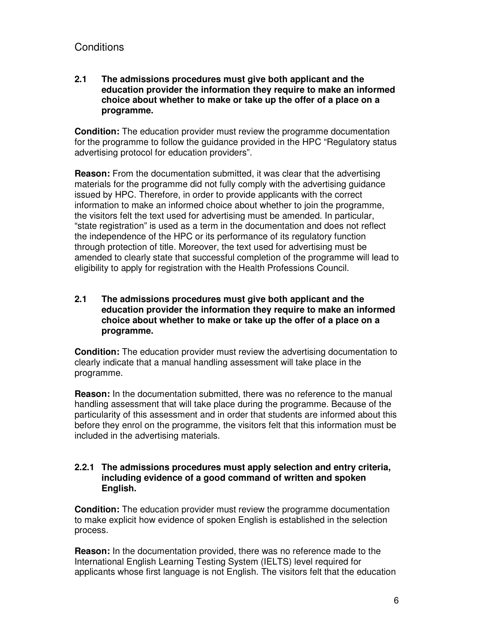# **Conditions**

#### **2.1 The admissions procedures must give both applicant and the education provider the information they require to make an informed choice about whether to make or take up the offer of a place on a programme.**

**Condition:** The education provider must review the programme documentation for the programme to follow the guidance provided in the HPC "Regulatory status advertising protocol for education providers".

**Reason:** From the documentation submitted, it was clear that the advertising materials for the programme did not fully comply with the advertising guidance issued by HPC. Therefore, in order to provide applicants with the correct information to make an informed choice about whether to join the programme, the visitors felt the text used for advertising must be amended. In particular, "state registration" is used as a term in the documentation and does not reflect the independence of the HPC or its performance of its regulatory function through protection of title. Moreover, the text used for advertising must be amended to clearly state that successful completion of the programme will lead to eligibility to apply for registration with the Health Professions Council.

#### **2.1 The admissions procedures must give both applicant and the education provider the information they require to make an informed choice about whether to make or take up the offer of a place on a programme.**

**Condition:** The education provider must review the advertising documentation to clearly indicate that a manual handling assessment will take place in the programme.

**Reason:** In the documentation submitted, there was no reference to the manual handling assessment that will take place during the programme. Because of the particularity of this assessment and in order that students are informed about this before they enrol on the programme, the visitors felt that this information must be included in the advertising materials.

#### **2.2.1 The admissions procedures must apply selection and entry criteria, including evidence of a good command of written and spoken English.**

**Condition:** The education provider must review the programme documentation to make explicit how evidence of spoken English is established in the selection process.

**Reason:** In the documentation provided, there was no reference made to the International English Learning Testing System (IELTS) level required for applicants whose first language is not English. The visitors felt that the education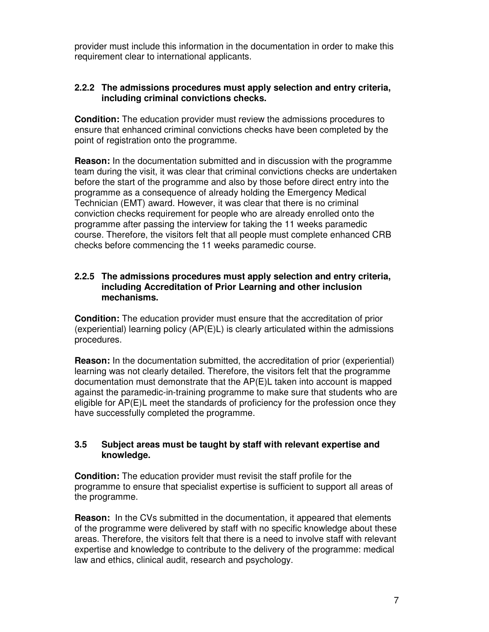provider must include this information in the documentation in order to make this requirement clear to international applicants.

#### **2.2.2 The admissions procedures must apply selection and entry criteria, including criminal convictions checks.**

**Condition:** The education provider must review the admissions procedures to ensure that enhanced criminal convictions checks have been completed by the point of registration onto the programme.

**Reason:** In the documentation submitted and in discussion with the programme team during the visit, it was clear that criminal convictions checks are undertaken before the start of the programme and also by those before direct entry into the programme as a consequence of already holding the Emergency Medical Technician (EMT) award. However, it was clear that there is no criminal conviction checks requirement for people who are already enrolled onto the programme after passing the interview for taking the 11 weeks paramedic course. Therefore, the visitors felt that all people must complete enhanced CRB checks before commencing the 11 weeks paramedic course.

#### **2.2.5 The admissions procedures must apply selection and entry criteria, including Accreditation of Prior Learning and other inclusion mechanisms.**

**Condition:** The education provider must ensure that the accreditation of prior (experiential) learning policy (AP(E)L) is clearly articulated within the admissions procedures.

**Reason:** In the documentation submitted, the accreditation of prior (experiential) learning was not clearly detailed. Therefore, the visitors felt that the programme documentation must demonstrate that the AP(E)L taken into account is mapped against the paramedic-in-training programme to make sure that students who are eligible for AP(E)L meet the standards of proficiency for the profession once they have successfully completed the programme.

#### **3.5 Subject areas must be taught by staff with relevant expertise and knowledge.**

**Condition:** The education provider must revisit the staff profile for the programme to ensure that specialist expertise is sufficient to support all areas of the programme.

**Reason:** In the CVs submitted in the documentation, it appeared that elements of the programme were delivered by staff with no specific knowledge about these areas. Therefore, the visitors felt that there is a need to involve staff with relevant expertise and knowledge to contribute to the delivery of the programme: medical law and ethics, clinical audit, research and psychology.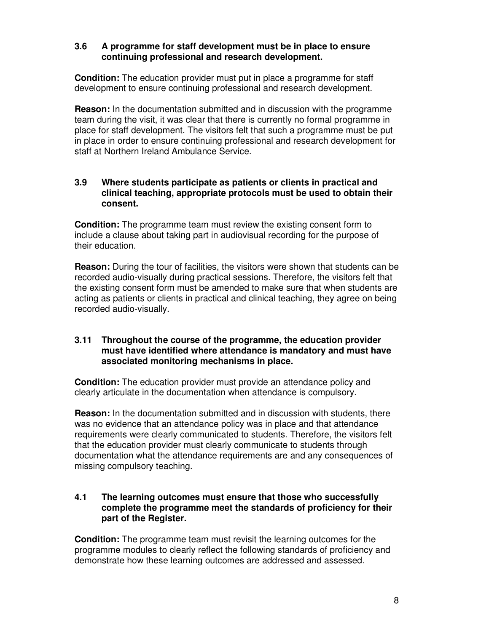#### **3.6 A programme for staff development must be in place to ensure continuing professional and research development.**

**Condition:** The education provider must put in place a programme for staff development to ensure continuing professional and research development.

**Reason:** In the documentation submitted and in discussion with the programme team during the visit, it was clear that there is currently no formal programme in place for staff development. The visitors felt that such a programme must be put in place in order to ensure continuing professional and research development for staff at Northern Ireland Ambulance Service.

#### **3.9 Where students participate as patients or clients in practical and clinical teaching, appropriate protocols must be used to obtain their consent.**

**Condition:** The programme team must review the existing consent form to include a clause about taking part in audiovisual recording for the purpose of their education.

**Reason:** During the tour of facilities, the visitors were shown that students can be recorded audio-visually during practical sessions. Therefore, the visitors felt that the existing consent form must be amended to make sure that when students are acting as patients or clients in practical and clinical teaching, they agree on being recorded audio-visually.

#### **3.11 Throughout the course of the programme, the education provider must have identified where attendance is mandatory and must have associated monitoring mechanisms in place.**

**Condition:** The education provider must provide an attendance policy and clearly articulate in the documentation when attendance is compulsory.

**Reason:** In the documentation submitted and in discussion with students, there was no evidence that an attendance policy was in place and that attendance requirements were clearly communicated to students. Therefore, the visitors felt that the education provider must clearly communicate to students through documentation what the attendance requirements are and any consequences of missing compulsory teaching.

#### **4.1 The learning outcomes must ensure that those who successfully complete the programme meet the standards of proficiency for their part of the Register.**

**Condition:** The programme team must revisit the learning outcomes for the programme modules to clearly reflect the following standards of proficiency and demonstrate how these learning outcomes are addressed and assessed.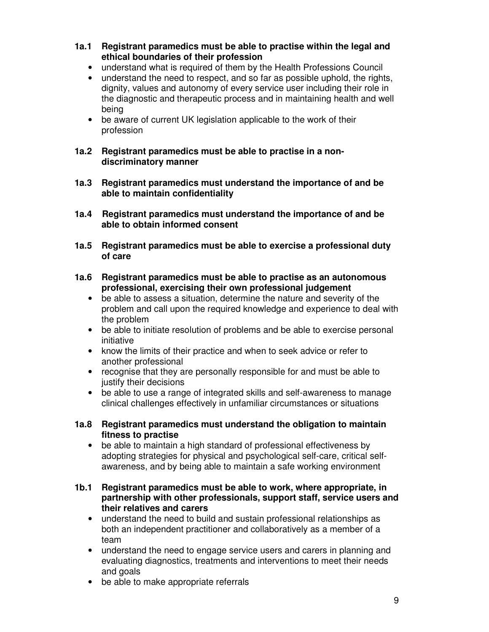- **1a.1 Registrant paramedics must be able to practise within the legal and ethical boundaries of their profession** 
	- understand what is required of them by the Health Professions Council
	- understand the need to respect, and so far as possible uphold, the rights, dignity, values and autonomy of every service user including their role in the diagnostic and therapeutic process and in maintaining health and well being
	- be aware of current UK legislation applicable to the work of their profession
- **1a.2 Registrant paramedics must be able to practise in a nondiscriminatory manner**
- **1a.3 Registrant paramedics must understand the importance of and be able to maintain confidentiality**
- **1a.4 Registrant paramedics must understand the importance of and be able to obtain informed consent**
- **1a.5 Registrant paramedics must be able to exercise a professional duty of care**
- **1a.6 Registrant paramedics must be able to practise as an autonomous professional, exercising their own professional judgement** 
	- be able to assess a situation, determine the nature and severity of the problem and call upon the required knowledge and experience to deal with the problem
	- be able to initiate resolution of problems and be able to exercise personal initiative
	- know the limits of their practice and when to seek advice or refer to another professional
	- recognise that they are personally responsible for and must be able to justify their decisions
	- be able to use a range of integrated skills and self-awareness to manage clinical challenges effectively in unfamiliar circumstances or situations
- **1a.8 Registrant paramedics must understand the obligation to maintain fitness to practise** 
	- be able to maintain a high standard of professional effectiveness by adopting strategies for physical and psychological self-care, critical selfawareness, and by being able to maintain a safe working environment
- **1b.1 Registrant paramedics must be able to work, where appropriate, in partnership with other professionals, support staff, service users and their relatives and carers** 
	- understand the need to build and sustain professional relationships as both an independent practitioner and collaboratively as a member of a team
	- understand the need to engage service users and carers in planning and evaluating diagnostics, treatments and interventions to meet their needs and goals
	- be able to make appropriate referrals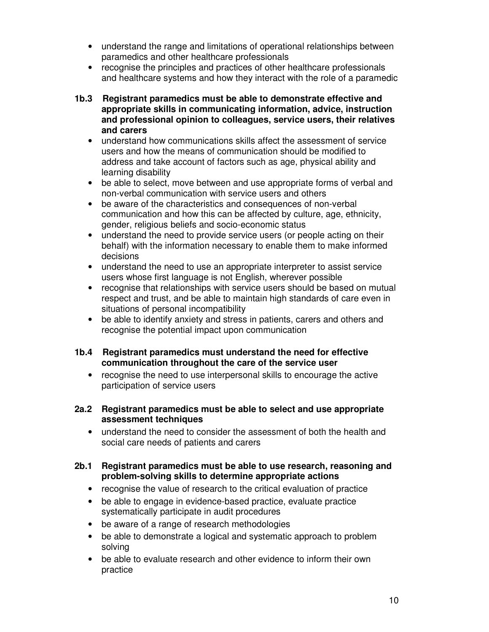- understand the range and limitations of operational relationships between paramedics and other healthcare professionals
- recognise the principles and practices of other healthcare professionals and healthcare systems and how they interact with the role of a paramedic
- **1b.3 Registrant paramedics must be able to demonstrate effective and appropriate skills in communicating information, advice, instruction and professional opinion to colleagues, service users, their relatives and carers** 
	- understand how communications skills affect the assessment of service users and how the means of communication should be modified to address and take account of factors such as age, physical ability and learning disability
	- be able to select, move between and use appropriate forms of verbal and non-verbal communication with service users and others
	- be aware of the characteristics and consequences of non-verbal communication and how this can be affected by culture, age, ethnicity, gender, religious beliefs and socio-economic status
	- understand the need to provide service users (or people acting on their behalf) with the information necessary to enable them to make informed decisions
	- understand the need to use an appropriate interpreter to assist service users whose first language is not English, wherever possible
	- recognise that relationships with service users should be based on mutual respect and trust, and be able to maintain high standards of care even in situations of personal incompatibility
	- be able to identify anxiety and stress in patients, carers and others and recognise the potential impact upon communication

#### **1b.4 Registrant paramedics must understand the need for effective communication throughout the care of the service user**

- recognise the need to use interpersonal skills to encourage the active participation of service users
- **2a.2 Registrant paramedics must be able to select and use appropriate assessment techniques** 
	- understand the need to consider the assessment of both the health and social care needs of patients and carers

#### **2b.1 Registrant paramedics must be able to use research, reasoning and problem-solving skills to determine appropriate actions**

- recognise the value of research to the critical evaluation of practice
- be able to engage in evidence-based practice, evaluate practice systematically participate in audit procedures
- be aware of a range of research methodologies
- be able to demonstrate a logical and systematic approach to problem solving
- be able to evaluate research and other evidence to inform their own practice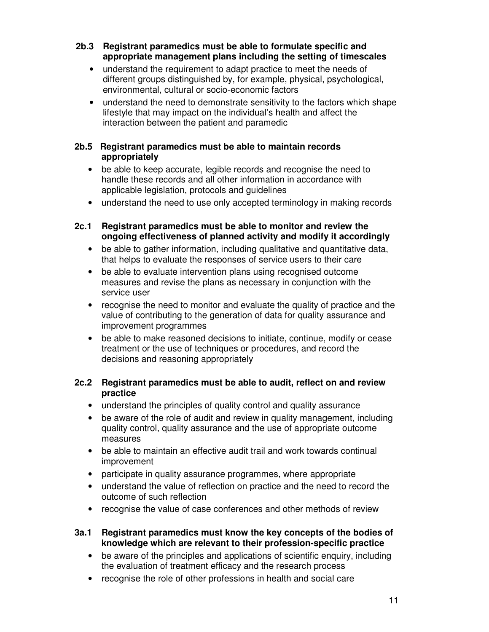#### **2b.3 Registrant paramedics must be able to formulate specific and appropriate management plans including the setting of timescales**

- understand the requirement to adapt practice to meet the needs of different groups distinguished by, for example, physical, psychological, environmental, cultural or socio-economic factors
- understand the need to demonstrate sensitivity to the factors which shape lifestyle that may impact on the individual's health and affect the interaction between the patient and paramedic

#### **2b.5 Registrant paramedics must be able to maintain records appropriately**

- be able to keep accurate, legible records and recognise the need to handle these records and all other information in accordance with applicable legislation, protocols and guidelines
- understand the need to use only accepted terminology in making records

#### **2c.1 Registrant paramedics must be able to monitor and review the ongoing effectiveness of planned activity and modify it accordingly**

- be able to gather information, including qualitative and quantitative data, that helps to evaluate the responses of service users to their care
- be able to evaluate intervention plans using recognised outcome measures and revise the plans as necessary in conjunction with the service user
- recognise the need to monitor and evaluate the quality of practice and the value of contributing to the generation of data for quality assurance and improvement programmes
- be able to make reasoned decisions to initiate, continue, modify or cease treatment or the use of techniques or procedures, and record the decisions and reasoning appropriately

#### **2c.2 Registrant paramedics must be able to audit, reflect on and review practice**

- understand the principles of quality control and quality assurance
- be aware of the role of audit and review in quality management, including quality control, quality assurance and the use of appropriate outcome measures
- be able to maintain an effective audit trail and work towards continual improvement
- participate in quality assurance programmes, where appropriate
- understand the value of reflection on practice and the need to record the outcome of such reflection
- recognise the value of case conferences and other methods of review

#### **3a.1 Registrant paramedics must know the key concepts of the bodies of knowledge which are relevant to their profession-specific practice**

- be aware of the principles and applications of scientific enquiry, including the evaluation of treatment efficacy and the research process
- recognise the role of other professions in health and social care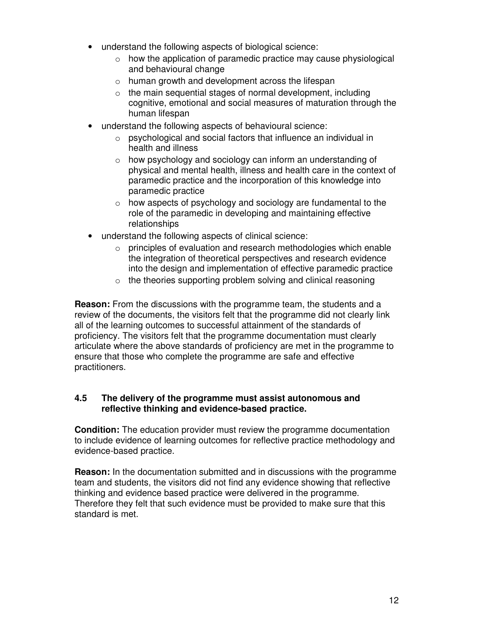- understand the following aspects of biological science:
	- $\circ$  how the application of paramedic practice may cause physiological and behavioural change
	- o human growth and development across the lifespan
	- $\circ$  the main sequential stages of normal development, including cognitive, emotional and social measures of maturation through the human lifespan
- understand the following aspects of behavioural science:
	- o psychological and social factors that influence an individual in health and illness
	- o how psychology and sociology can inform an understanding of physical and mental health, illness and health care in the context of paramedic practice and the incorporation of this knowledge into paramedic practice
	- o how aspects of psychology and sociology are fundamental to the role of the paramedic in developing and maintaining effective relationships
- understand the following aspects of clinical science:
	- $\circ$  principles of evaluation and research methodologies which enable the integration of theoretical perspectives and research evidence into the design and implementation of effective paramedic practice
	- $\circ$  the theories supporting problem solving and clinical reasoning

**Reason:** From the discussions with the programme team, the students and a review of the documents, the visitors felt that the programme did not clearly link all of the learning outcomes to successful attainment of the standards of proficiency. The visitors felt that the programme documentation must clearly articulate where the above standards of proficiency are met in the programme to ensure that those who complete the programme are safe and effective practitioners.

#### **4.5 The delivery of the programme must assist autonomous and reflective thinking and evidence-based practice.**

**Condition:** The education provider must review the programme documentation to include evidence of learning outcomes for reflective practice methodology and evidence-based practice.

**Reason:** In the documentation submitted and in discussions with the programme team and students, the visitors did not find any evidence showing that reflective thinking and evidence based practice were delivered in the programme. Therefore they felt that such evidence must be provided to make sure that this standard is met.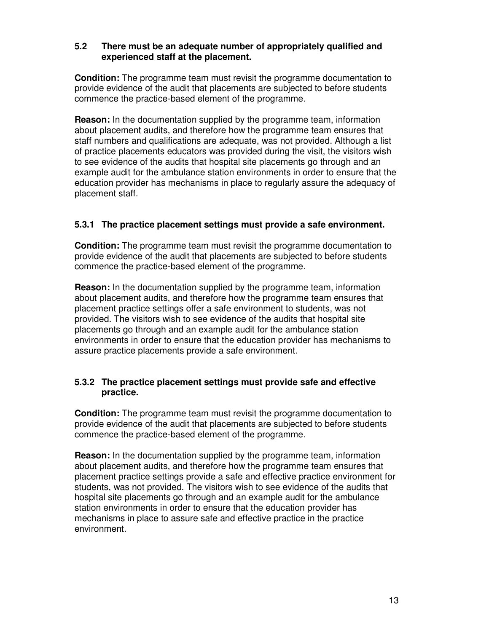#### **5.2 There must be an adequate number of appropriately qualified and experienced staff at the placement.**

**Condition:** The programme team must revisit the programme documentation to provide evidence of the audit that placements are subjected to before students commence the practice-based element of the programme.

**Reason:** In the documentation supplied by the programme team, information about placement audits, and therefore how the programme team ensures that staff numbers and qualifications are adequate, was not provided. Although a list of practice placements educators was provided during the visit, the visitors wish to see evidence of the audits that hospital site placements go through and an example audit for the ambulance station environments in order to ensure that the education provider has mechanisms in place to regularly assure the adequacy of placement staff.

#### **5.3.1 The practice placement settings must provide a safe environment.**

**Condition:** The programme team must revisit the programme documentation to provide evidence of the audit that placements are subjected to before students commence the practice-based element of the programme.

**Reason:** In the documentation supplied by the programme team, information about placement audits, and therefore how the programme team ensures that placement practice settings offer a safe environment to students, was not provided. The visitors wish to see evidence of the audits that hospital site placements go through and an example audit for the ambulance station environments in order to ensure that the education provider has mechanisms to assure practice placements provide a safe environment.

#### **5.3.2 The practice placement settings must provide safe and effective practice.**

**Condition:** The programme team must revisit the programme documentation to provide evidence of the audit that placements are subjected to before students commence the practice-based element of the programme.

**Reason:** In the documentation supplied by the programme team, information about placement audits, and therefore how the programme team ensures that placement practice settings provide a safe and effective practice environment for students, was not provided. The visitors wish to see evidence of the audits that hospital site placements go through and an example audit for the ambulance station environments in order to ensure that the education provider has mechanisms in place to assure safe and effective practice in the practice environment.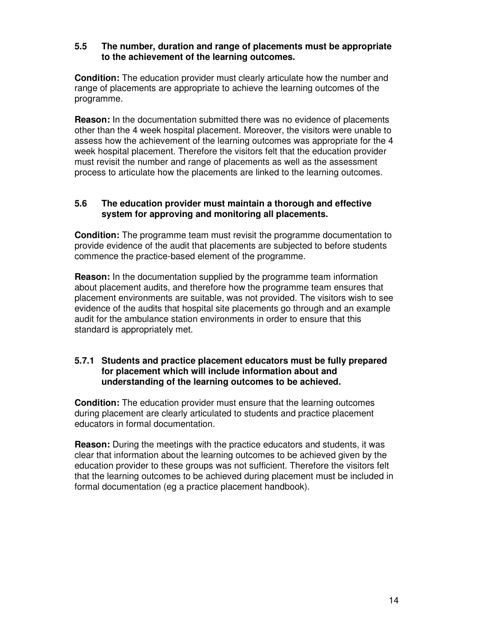#### **5.5 The number, duration and range of placements must be appropriate to the achievement of the learning outcomes.**

**Condition:** The education provider must clearly articulate how the number and range of placements are appropriate to achieve the learning outcomes of the programme.

**Reason:** In the documentation submitted there was no evidence of placements other than the 4 week hospital placement. Moreover, the visitors were unable to assess how the achievement of the learning outcomes was appropriate for the 4 week hospital placement. Therefore the visitors felt that the education provider must revisit the number and range of placements as well as the assessment process to articulate how the placements are linked to the learning outcomes.

#### **5.6 The education provider must maintain a thorough and effective system for approving and monitoring all placements.**

**Condition:** The programme team must revisit the programme documentation to provide evidence of the audit that placements are subjected to before students commence the practice-based element of the programme.

**Reason:** In the documentation supplied by the programme team information about placement audits, and therefore how the programme team ensures that placement environments are suitable, was not provided. The visitors wish to see evidence of the audits that hospital site placements go through and an example audit for the ambulance station environments in order to ensure that this standard is appropriately met.

#### **5.7.1 Students and practice placement educators must be fully prepared for placement which will include information about and understanding of the learning outcomes to be achieved.**

**Condition:** The education provider must ensure that the learning outcomes during placement are clearly articulated to students and practice placement educators in formal documentation.

**Reason:** During the meetings with the practice educators and students, it was clear that information about the learning outcomes to be achieved given by the education provider to these groups was not sufficient. Therefore the visitors felt that the learning outcomes to be achieved during placement must be included in formal documentation (eg a practice placement handbook).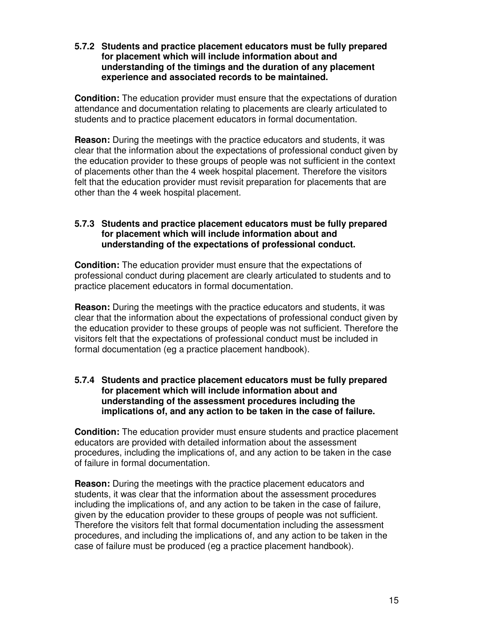**5.7.2 Students and practice placement educators must be fully prepared for placement which will include information about and understanding of the timings and the duration of any placement experience and associated records to be maintained.**

**Condition:** The education provider must ensure that the expectations of duration attendance and documentation relating to placements are clearly articulated to students and to practice placement educators in formal documentation.

**Reason:** During the meetings with the practice educators and students, it was clear that the information about the expectations of professional conduct given by the education provider to these groups of people was not sufficient in the context of placements other than the 4 week hospital placement. Therefore the visitors felt that the education provider must revisit preparation for placements that are other than the 4 week hospital placement.

#### **5.7.3 Students and practice placement educators must be fully prepared for placement which will include information about and understanding of the expectations of professional conduct.**

**Condition:** The education provider must ensure that the expectations of professional conduct during placement are clearly articulated to students and to practice placement educators in formal documentation.

**Reason:** During the meetings with the practice educators and students, it was clear that the information about the expectations of professional conduct given by the education provider to these groups of people was not sufficient. Therefore the visitors felt that the expectations of professional conduct must be included in formal documentation (eg a practice placement handbook).

#### **5.7.4 Students and practice placement educators must be fully prepared for placement which will include information about and understanding of the assessment procedures including the implications of, and any action to be taken in the case of failure.**

**Condition:** The education provider must ensure students and practice placement educators are provided with detailed information about the assessment procedures, including the implications of, and any action to be taken in the case of failure in formal documentation.

**Reason:** During the meetings with the practice placement educators and students, it was clear that the information about the assessment procedures including the implications of, and any action to be taken in the case of failure, given by the education provider to these groups of people was not sufficient. Therefore the visitors felt that formal documentation including the assessment procedures, and including the implications of, and any action to be taken in the case of failure must be produced (eg a practice placement handbook).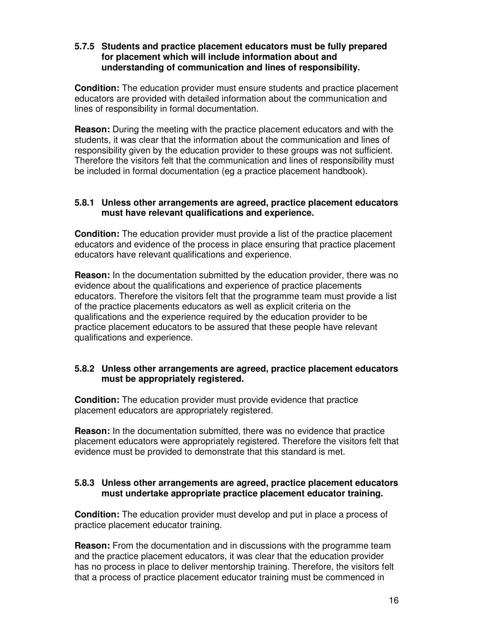#### **5.7.5 Students and practice placement educators must be fully prepared for placement which will include information about and understanding of communication and lines of responsibility.**

**Condition:** The education provider must ensure students and practice placement educators are provided with detailed information about the communication and lines of responsibility in formal documentation.

**Reason:** During the meeting with the practice placement educators and with the students, it was clear that the information about the communication and lines of responsibility given by the education provider to these groups was not sufficient. Therefore the visitors felt that the communication and lines of responsibility must be included in formal documentation (eg a practice placement handbook).

#### **5.8.1 Unless other arrangements are agreed, practice placement educators must have relevant qualifications and experience.**

**Condition:** The education provider must provide a list of the practice placement educators and evidence of the process in place ensuring that practice placement educators have relevant qualifications and experience.

**Reason:** In the documentation submitted by the education provider, there was no evidence about the qualifications and experience of practice placements educators. Therefore the visitors felt that the programme team must provide a list of the practice placements educators as well as explicit criteria on the qualifications and the experience required by the education provider to be practice placement educators to be assured that these people have relevant qualifications and experience.

#### **5.8.2 Unless other arrangements are agreed, practice placement educators must be appropriately registered.**

**Condition:** The education provider must provide evidence that practice placement educators are appropriately registered.

**Reason:** In the documentation submitted, there was no evidence that practice placement educators were appropriately registered. Therefore the visitors felt that evidence must be provided to demonstrate that this standard is met.

#### **5.8.3 Unless other arrangements are agreed, practice placement educators must undertake appropriate practice placement educator training.**

**Condition:** The education provider must develop and put in place a process of practice placement educator training.

**Reason:** From the documentation and in discussions with the programme team and the practice placement educators, it was clear that the education provider has no process in place to deliver mentorship training. Therefore, the visitors felt that a process of practice placement educator training must be commenced in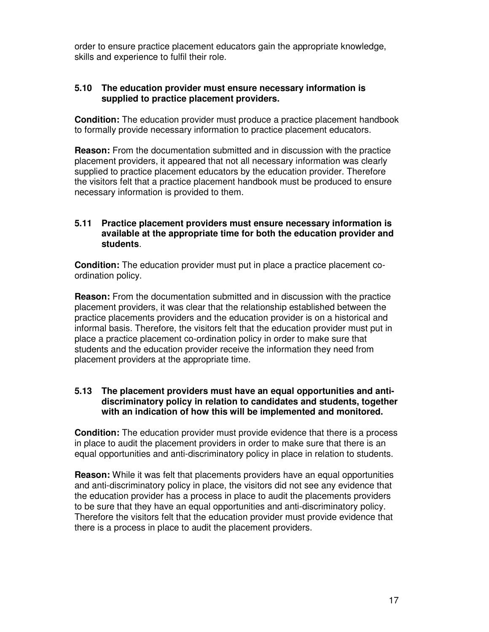order to ensure practice placement educators gain the appropriate knowledge, skills and experience to fulfil their role.

#### **5.10 The education provider must ensure necessary information is supplied to practice placement providers.**

**Condition:** The education provider must produce a practice placement handbook to formally provide necessary information to practice placement educators.

**Reason:** From the documentation submitted and in discussion with the practice placement providers, it appeared that not all necessary information was clearly supplied to practice placement educators by the education provider. Therefore the visitors felt that a practice placement handbook must be produced to ensure necessary information is provided to them.

#### **5.11 Practice placement providers must ensure necessary information is available at the appropriate time for both the education provider and students**.

**Condition:** The education provider must put in place a practice placement coordination policy.

**Reason:** From the documentation submitted and in discussion with the practice placement providers, it was clear that the relationship established between the practice placements providers and the education provider is on a historical and informal basis. Therefore, the visitors felt that the education provider must put in place a practice placement co-ordination policy in order to make sure that students and the education provider receive the information they need from placement providers at the appropriate time.

#### **5.13 The placement providers must have an equal opportunities and antidiscriminatory policy in relation to candidates and students, together with an indication of how this will be implemented and monitored.**

**Condition:** The education provider must provide evidence that there is a process in place to audit the placement providers in order to make sure that there is an equal opportunities and anti-discriminatory policy in place in relation to students.

**Reason:** While it was felt that placements providers have an equal opportunities and anti-discriminatory policy in place, the visitors did not see any evidence that the education provider has a process in place to audit the placements providers to be sure that they have an equal opportunities and anti-discriminatory policy. Therefore the visitors felt that the education provider must provide evidence that there is a process in place to audit the placement providers.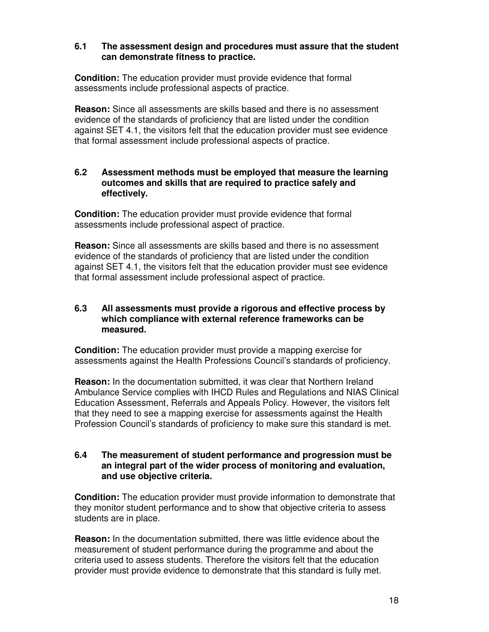#### **6.1 The assessment design and procedures must assure that the student can demonstrate fitness to practice.**

**Condition:** The education provider must provide evidence that formal assessments include professional aspects of practice.

**Reason:** Since all assessments are skills based and there is no assessment evidence of the standards of proficiency that are listed under the condition against SET 4.1, the visitors felt that the education provider must see evidence that formal assessment include professional aspects of practice.

#### **6.2 Assessment methods must be employed that measure the learning outcomes and skills that are required to practice safely and effectively.**

**Condition:** The education provider must provide evidence that formal assessments include professional aspect of practice.

**Reason:** Since all assessments are skills based and there is no assessment evidence of the standards of proficiency that are listed under the condition against SET 4.1, the visitors felt that the education provider must see evidence that formal assessment include professional aspect of practice.

#### **6.3 All assessments must provide a rigorous and effective process by which compliance with external reference frameworks can be measured.**

**Condition:** The education provider must provide a mapping exercise for assessments against the Health Professions Council's standards of proficiency.

**Reason:** In the documentation submitted, it was clear that Northern Ireland Ambulance Service complies with IHCD Rules and Regulations and NIAS Clinical Education Assessment, Referrals and Appeals Policy. However, the visitors felt that they need to see a mapping exercise for assessments against the Health Profession Council's standards of proficiency to make sure this standard is met.

#### **6.4 The measurement of student performance and progression must be an integral part of the wider process of monitoring and evaluation, and use objective criteria.**

**Condition:** The education provider must provide information to demonstrate that they monitor student performance and to show that objective criteria to assess students are in place.

**Reason:** In the documentation submitted, there was little evidence about the measurement of student performance during the programme and about the criteria used to assess students. Therefore the visitors felt that the education provider must provide evidence to demonstrate that this standard is fully met.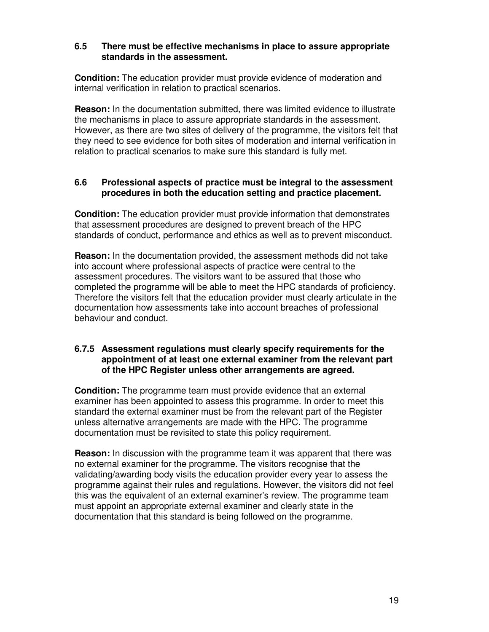#### **6.5 There must be effective mechanisms in place to assure appropriate standards in the assessment.**

**Condition:** The education provider must provide evidence of moderation and internal verification in relation to practical scenarios.

**Reason:** In the documentation submitted, there was limited evidence to illustrate the mechanisms in place to assure appropriate standards in the assessment. However, as there are two sites of delivery of the programme, the visitors felt that they need to see evidence for both sites of moderation and internal verification in relation to practical scenarios to make sure this standard is fully met.

#### **6.6 Professional aspects of practice must be integral to the assessment procedures in both the education setting and practice placement.**

**Condition:** The education provider must provide information that demonstrates that assessment procedures are designed to prevent breach of the HPC standards of conduct, performance and ethics as well as to prevent misconduct.

**Reason:** In the documentation provided, the assessment methods did not take into account where professional aspects of practice were central to the assessment procedures. The visitors want to be assured that those who completed the programme will be able to meet the HPC standards of proficiency. Therefore the visitors felt that the education provider must clearly articulate in the documentation how assessments take into account breaches of professional behaviour and conduct.

#### **6.7.5 Assessment regulations must clearly specify requirements for the appointment of at least one external examiner from the relevant part of the HPC Register unless other arrangements are agreed.**

**Condition:** The programme team must provide evidence that an external examiner has been appointed to assess this programme. In order to meet this standard the external examiner must be from the relevant part of the Register unless alternative arrangements are made with the HPC. The programme documentation must be revisited to state this policy requirement.

**Reason:** In discussion with the programme team it was apparent that there was no external examiner for the programme. The visitors recognise that the validating/awarding body visits the education provider every year to assess the programme against their rules and regulations. However, the visitors did not feel this was the equivalent of an external examiner's review. The programme team must appoint an appropriate external examiner and clearly state in the documentation that this standard is being followed on the programme.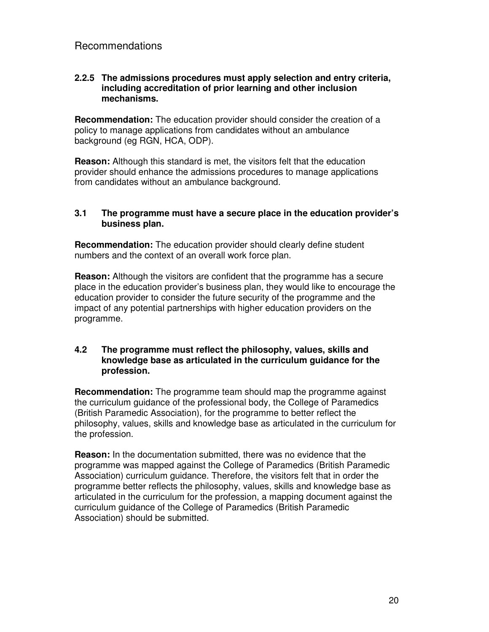# Recommendations

#### **2.2.5 The admissions procedures must apply selection and entry criteria, including accreditation of prior learning and other inclusion mechanisms.**

**Recommendation:** The education provider should consider the creation of a policy to manage applications from candidates without an ambulance background (eg RGN, HCA, ODP).

**Reason:** Although this standard is met, the visitors felt that the education provider should enhance the admissions procedures to manage applications from candidates without an ambulance background.

#### **3.1 The programme must have a secure place in the education provider's business plan.**

**Recommendation:** The education provider should clearly define student numbers and the context of an overall work force plan.

**Reason:** Although the visitors are confident that the programme has a secure place in the education provider's business plan, they would like to encourage the education provider to consider the future security of the programme and the impact of any potential partnerships with higher education providers on the programme.

#### **4.2 The programme must reflect the philosophy, values, skills and knowledge base as articulated in the curriculum guidance for the profession.**

**Recommendation:** The programme team should map the programme against the curriculum guidance of the professional body, the College of Paramedics (British Paramedic Association), for the programme to better reflect the philosophy, values, skills and knowledge base as articulated in the curriculum for the profession.

**Reason:** In the documentation submitted, there was no evidence that the programme was mapped against the College of Paramedics (British Paramedic Association) curriculum guidance. Therefore, the visitors felt that in order the programme better reflects the philosophy, values, skills and knowledge base as articulated in the curriculum for the profession, a mapping document against the curriculum guidance of the College of Paramedics (British Paramedic Association) should be submitted.